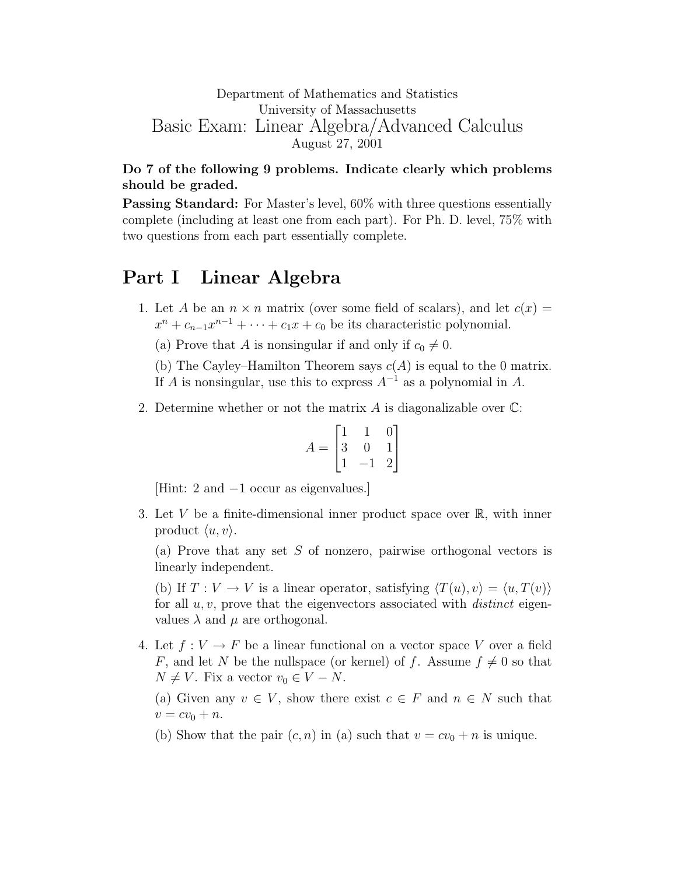## Department of Mathematics and Statistics University of Massachusetts Basic Exam: Linear Algebra/Advanced Calculus August 27, 2001

## Do 7 of the following 9 problems. Indicate clearly which problems should be graded.

Passing Standard: For Master's level, 60% with three questions essentially complete (including at least one from each part). For Ph. D. level, 75% with two questions from each part essentially complete.

## Part I Linear Algebra

1. Let A be an  $n \times n$  matrix (over some field of scalars), and let  $c(x) =$  $x^{n} + c_{n-1}x^{n-1} + \cdots + c_{1}x + c_{0}$  be its characteristic polynomial.

(a) Prove that A is nonsingular if and only if  $c_0 \neq 0$ .

(b) The Cayley–Hamilton Theorem says  $c(A)$  is equal to the 0 matrix. If A is nonsingular, use this to express  $A^{-1}$  as a polynomial in A.

2. Determine whether or not the matrix A is diagonalizable over  $\mathbb{C}$ :

$$
A = \begin{bmatrix} 1 & 1 & 0 \\ 3 & 0 & 1 \\ 1 & -1 & 2 \end{bmatrix}
$$

[Hint: 2 and −1 occur as eigenvalues.]

3. Let V be a finite-dimensional inner product space over  $\mathbb{R}$ , with inner product  $\langle u, v \rangle$ .

(a) Prove that any set S of nonzero, pairwise orthogonal vectors is linearly independent.

(b) If  $T: V \to V$  is a linear operator, satisfying  $\langle T(u), v \rangle = \langle u, T(v) \rangle$ for all  $u, v$ , prove that the eigenvectors associated with *distinct* eigenvalues  $\lambda$  and  $\mu$  are orthogonal.

4. Let  $f: V \to F$  be a linear functional on a vector space V over a field F, and let N be the nullspace (or kernel) of f. Assume  $f \neq 0$  so that  $N \neq V$ . Fix a vector  $v_0 \in V - N$ .

(a) Given any  $v \in V$ , show there exist  $c \in F$  and  $n \in N$  such that  $v = cv_0 + n.$ 

(b) Show that the pair  $(c, n)$  in (a) such that  $v = cv_0 + n$  is unique.